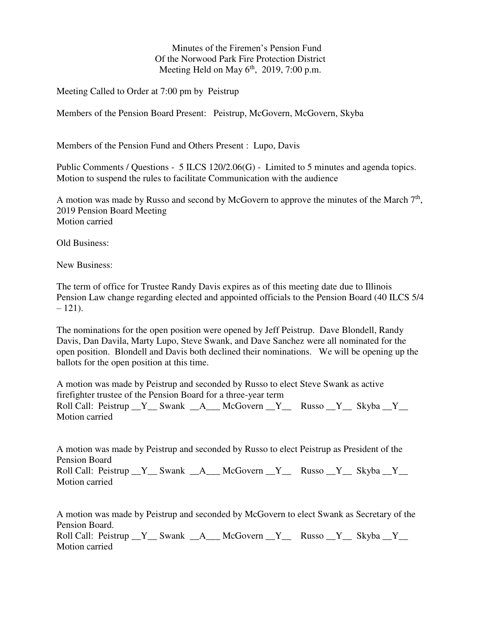Minutes of the Firemen's Pension Fund Of the Norwood Park Fire Protection District Meeting Held on May  $6<sup>th</sup>$ , 2019, 7:00 p.m.

Meeting Called to Order at 7:00 pm by Peistrup

Members of the Pension Board Present: Peistrup, McGovern, McGovern, Skyba

Members of the Pension Fund and Others Present : Lupo, Davis

Public Comments / Questions - 5 ILCS 120/2.06(G) - Limited to 5 minutes and agenda topics. Motion to suspend the rules to facilitate Communication with the audience

A motion was made by Russo and second by McGovern to approve the minutes of the March  $7<sup>th</sup>$ , 2019 Pension Board Meeting Motion carried

Old Business:

New Business:

The term of office for Trustee Randy Davis expires as of this meeting date due to Illinois Pension Law change regarding elected and appointed officials to the Pension Board (40 ILCS 5/4  $-121$ ).

The nominations for the open position were opened by Jeff Peistrup. Dave Blondell, Randy Davis, Dan Davila, Marty Lupo, Steve Swank, and Dave Sanchez were all nominated for the open position. Blondell and Davis both declined their nominations. We will be opening up the ballots for the open position at this time.

A motion was made by Peistrup and seconded by Russo to elect Steve Swank as active firefighter trustee of the Pension Board for a three-year term Roll Call: Peistrup  $Y$  Swank  $A$  McGovern  $Y$  Russo  $Y$  Skyba  $Y$ Motion carried

A motion was made by Peistrup and seconded by Russo to elect Peistrup as President of the Pension Board Roll Call: Peistrup  $Y$  Swank  $A$  McGovern  $Y$  Russo  $Y$  Skyba  $Y$ Motion carried

A motion was made by Peistrup and seconded by McGovern to elect Swank as Secretary of the Pension Board. Roll Call: Peistrup  $Y$  Swank A McGovern Y Russo Y Skyba Y Motion carried